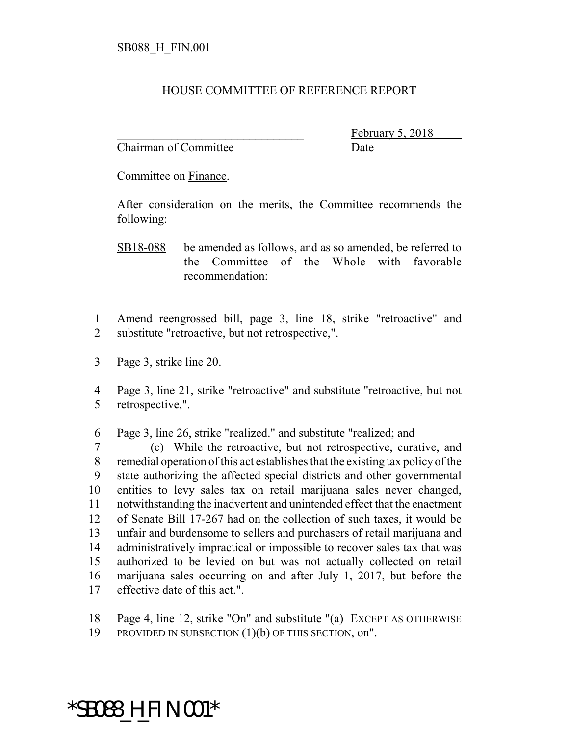## HOUSE COMMITTEE OF REFERENCE REPORT

Chairman of Committee Date

February 5,

Committee on Finance.

After consideration on the merits, the Committee recommends the following:

- Amend reengrossed bill, page 3, line 18, strike "retroactive" and substitute "retroactive, but not retrospective,".
- Page 3, strike line 20.
- Page 3, line 21, strike "retroactive" and substitute "retroactive, but not retrospective,".
- Page 3, line 26, strike "realized." and substitute "realized; and

 (c) While the retroactive, but not retrospective, curative, and remedial operation of this act establishes that the existing tax policy of the state authorizing the affected special districts and other governmental entities to levy sales tax on retail marijuana sales never changed, notwithstanding the inadvertent and unintended effect that the enactment of Senate Bill 17-267 had on the collection of such taxes, it would be unfair and burdensome to sellers and purchasers of retail marijuana and administratively impractical or impossible to recover sales tax that was authorized to be levied on but was not actually collected on retail marijuana sales occurring on and after July 1, 2017, but before the effective date of this act.".

Page 4, line 12, strike "On" and substitute "(a) EXCEPT AS OTHERWISE

PROVIDED IN SUBSECTION (1)(b) OF THIS SECTION, on".

## \*SB088\_H\_FIN.001\*

SB18-088 be amended as follows, and as so amended, be referred to the Committee of the Whole with favorable recommendation: